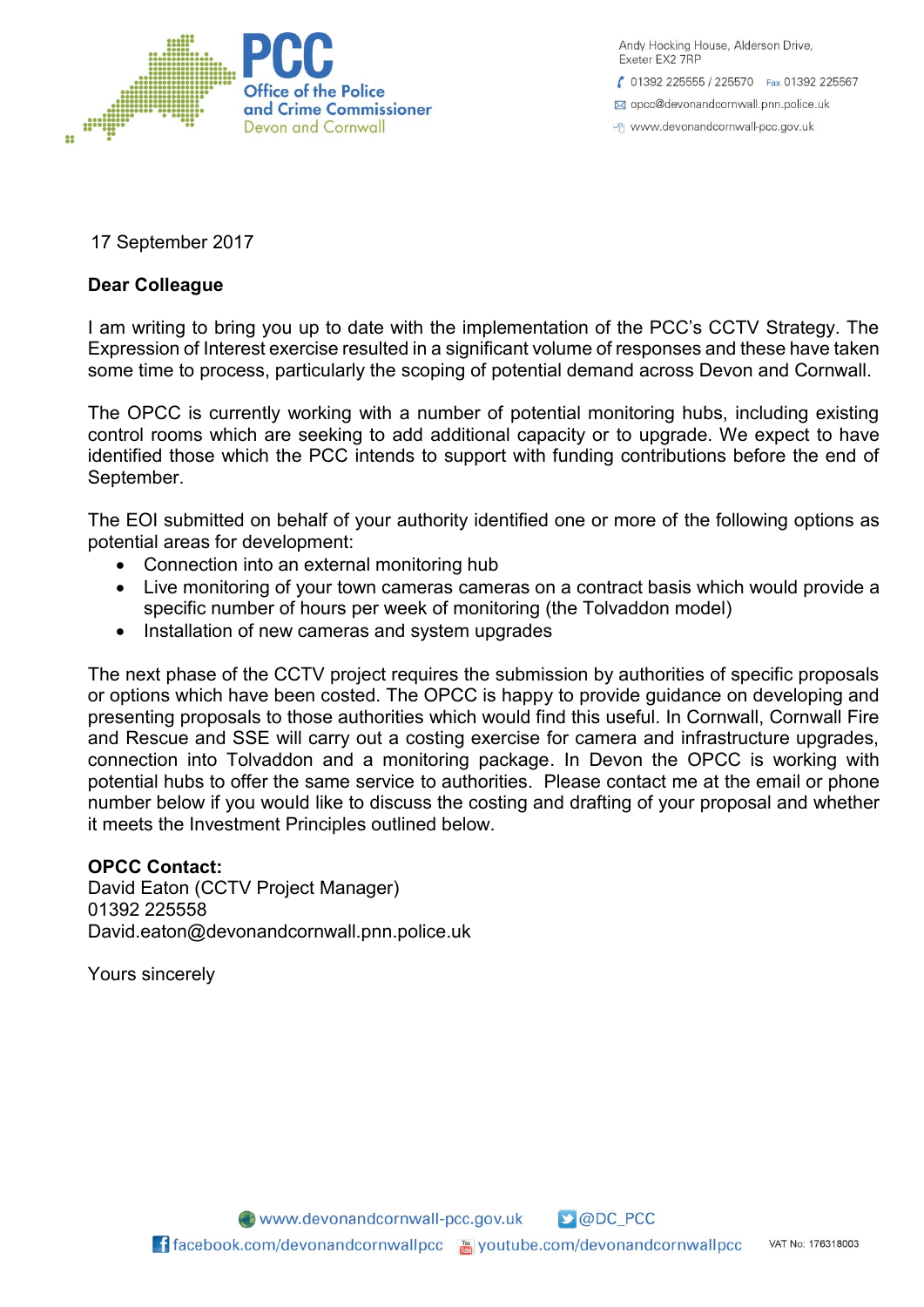

Andy Hocking House, Alderson Drive, Exeter FX2 7RP

€ 01392 225555 / 225570 Fax 01392 225567

⊠ opcc@devonandcornwall.pnn.police.uk

→ www.devonandcornwall-pcc.gov.uk

17 September 2017

# **Dear Colleague**

I am writing to bring you up to date with the implementation of the PCC's CCTV Strategy. The Expression of Interest exercise resulted in a significant volume of responses and these have taken some time to process, particularly the scoping of potential demand across Devon and Cornwall.

The OPCC is currently working with a number of potential monitoring hubs, including existing control rooms which are seeking to add additional capacity or to upgrade. We expect to have identified those which the PCC intends to support with funding contributions before the end of September.

The EOI submitted on behalf of your authority identified one or more of the following options as potential areas for development:

- Connection into an external monitoring hub
- Live monitoring of your town cameras cameras on a contract basis which would provide a specific number of hours per week of monitoring (the Tolvaddon model)
- Installation of new cameras and system upgrades

The next phase of the CCTV project requires the submission by authorities of specific proposals or options which have been costed. The OPCC is happy to provide guidance on developing and presenting proposals to those authorities which would find this useful. In Cornwall, Cornwall Fire and Rescue and SSE will carry out a costing exercise for camera and infrastructure upgrades, connection into Tolvaddon and a monitoring package. In Devon the OPCC is working with potential hubs to offer the same service to authorities. Please contact me at the email or phone number below if you would like to discuss the costing and drafting of your proposal and whether it meets the Investment Principles outlined below.

# **OPCC Contact:**

David Eaton (CCTV Project Manager) 01392 225558 David.eaton@devonandcornwall.pnn.police.uk

Yours sincerely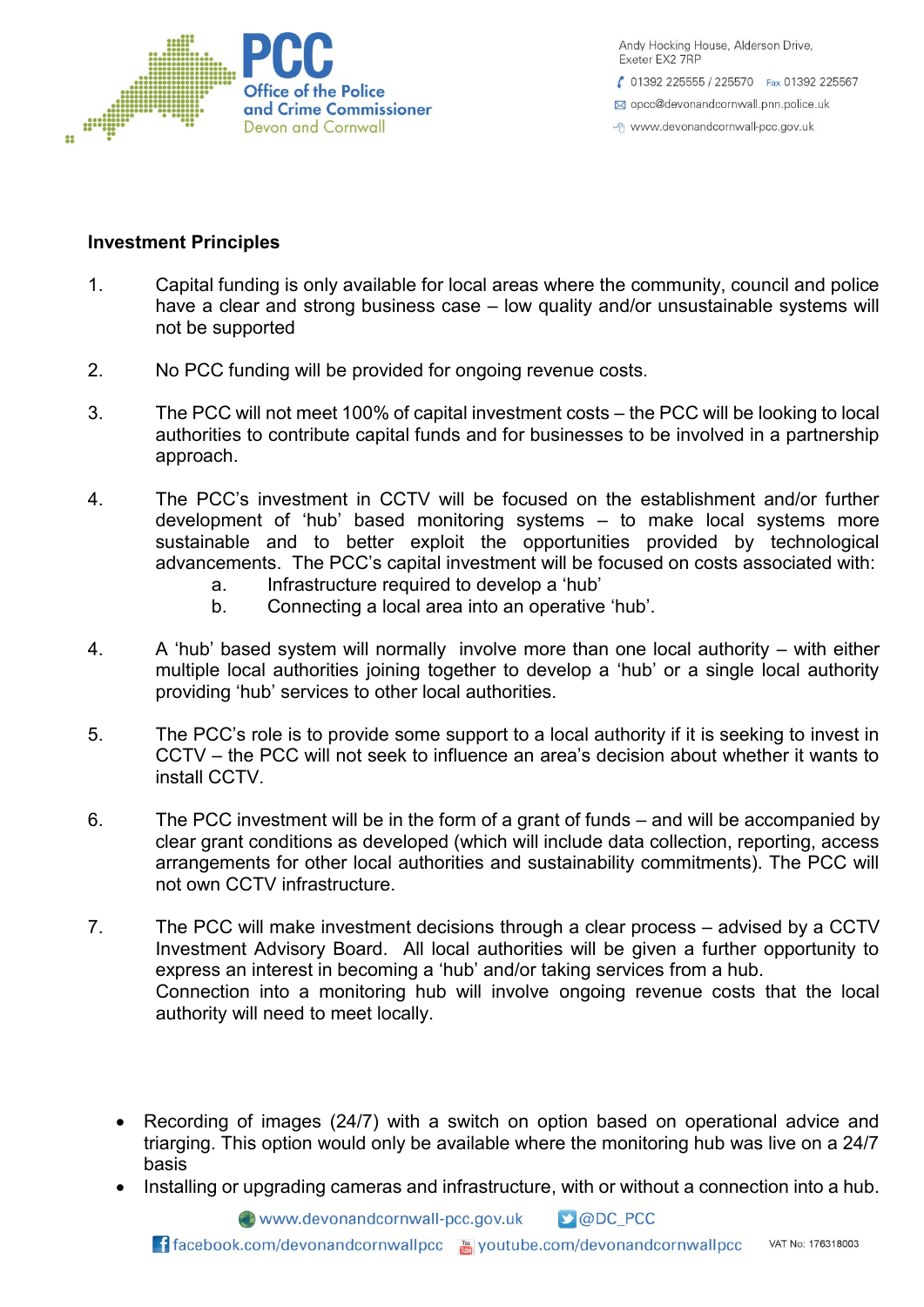

Andy Hocking House, Alderson Drive, Exeter EX2 7RP € 01392 225555 / 225570 Fax 01392 225567 ⊠ opcc@devonandcornwall.pnn.police.uk

→ www.devonandcornwall-pcc.gov.uk

### **Investment Principles**

- 1. Capital funding is only available for local areas where the community, council and police have a clear and strong business case – low quality and/or unsustainable systems will not be supported
- 2. No PCC funding will be provided for ongoing revenue costs.
- 3. The PCC will not meet 100% of capital investment costs the PCC will be looking to local authorities to contribute capital funds and for businesses to be involved in a partnership approach.
- 4. The PCC's investment in CCTV will be focused on the establishment and/or further development of 'hub' based monitoring systems – to make local systems more sustainable and to better exploit the opportunities provided by technological advancements. The PCC's capital investment will be focused on costs associated with:
	- a. Infrastructure required to develop a 'hub'
	- b. Connecting a local area into an operative 'hub'.
- 4. A 'hub' based system will normally involve more than one local authority with either multiple local authorities joining together to develop a 'hub' or a single local authority providing 'hub' services to other local authorities.
- 5. The PCC's role is to provide some support to a local authority if it is seeking to invest in CCTV – the PCC will not seek to influence an area's decision about whether it wants to install CCTV.
- 6. The PCC investment will be in the form of a grant of funds and will be accompanied by clear grant conditions as developed (which will include data collection, reporting, access arrangements for other local authorities and sustainability commitments). The PCC will not own CCTV infrastructure.
- 7. The PCC will make investment decisions through a clear process advised by a CCTV Investment Advisory Board. All local authorities will be given a further opportunity to express an interest in becoming a 'hub' and/or taking services from a hub. Connection into a monitoring hub will involve ongoing revenue costs that the local authority will need to meet locally.
	- Recording of images (24/7) with a switch on option based on operational advice and triarging. This option would only be available where the monitoring hub was live on a 24/7 basis
	- Installing or upgrading cameras and infrastructure, with or without a connection into a hub.

www.devonandcornwall-pcc.gov.uk **D** @DC PCC